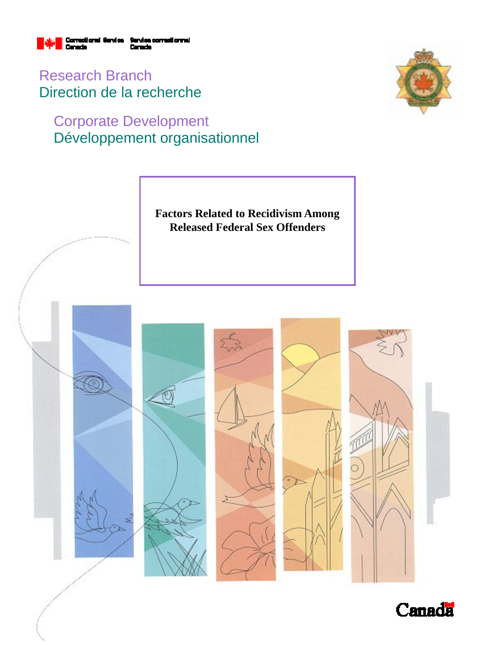

Research Branch Direction de la recherche

# Corporate Development Développement organisationnel





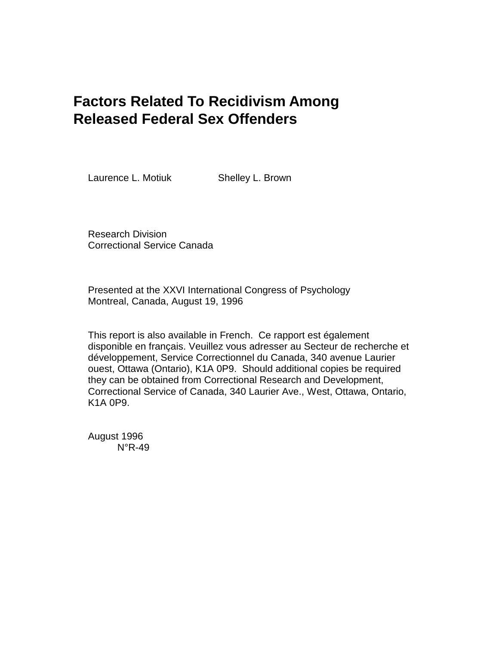# **Factors Related To Recidivism Among Released Federal Sex Offenders**

Laurence L. Motiuk **Shelley L. Brown** 

Research Division Correctional Service Canada

Presented at the XXVI International Congress of Psychology Montreal, Canada, August 19, 1996

This report is also available in French. Ce rapport est également disponible en français. Veuillez vous adresser au Secteur de recherche et développement, Service Correctionnel du Canada, 340 avenue Laurier ouest, Ottawa (Ontario), K1A 0P9. Should additional copies be required they can be obtained from Correctional Research and Development, Correctional Service of Canada, 340 Laurier Ave., West, Ottawa, Ontario, K1A 0P9.

August 1996 N°R-49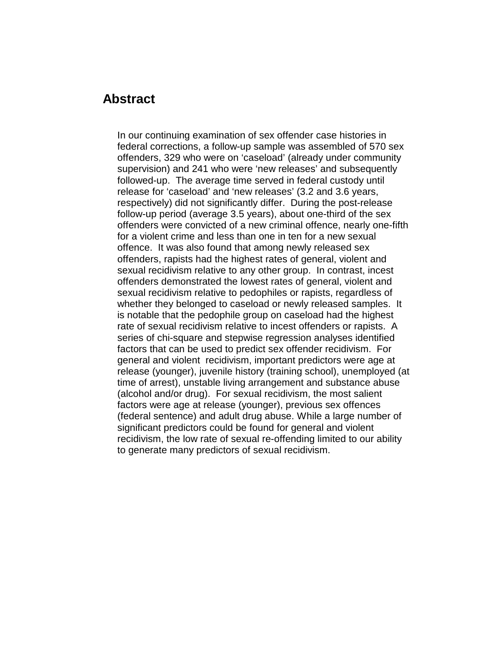#### **Abstract**

In our continuing examination of sex offender case histories in federal corrections, a follow-up sample was assembled of 570 sex offenders, 329 who were on 'caseload' (already under community supervision) and 241 who were 'new releases' and subsequently followed-up. The average time served in federal custody until release for 'caseload' and 'new releases' (3.2 and 3.6 years, respectively) did not significantly differ. During the post-release follow-up period (average 3.5 years), about one-third of the sex offenders were convicted of a new criminal offence, nearly one-fifth for a violent crime and less than one in ten for a new sexual offence. It was also found that among newly released sex offenders, rapists had the highest rates of general, violent and sexual recidivism relative to any other group. In contrast, incest offenders demonstrated the lowest rates of general, violent and sexual recidivism relative to pedophiles or rapists, regardless of whether they belonged to caseload or newly released samples. It is notable that the pedophile group on caseload had the highest rate of sexual recidivism relative to incest offenders or rapists. A series of chi-square and stepwise regression analyses identified factors that can be used to predict sex offender recidivism. For general and violent recidivism, important predictors were age at release (younger), juvenile history (training school), unemployed (at time of arrest), unstable living arrangement and substance abuse (alcohol and/or drug). For sexual recidivism, the most salient factors were age at release (younger), previous sex offences (federal sentence) and adult drug abuse. While a large number of significant predictors could be found for general and violent recidivism, the low rate of sexual re-offending limited to our ability to generate many predictors of sexual recidivism.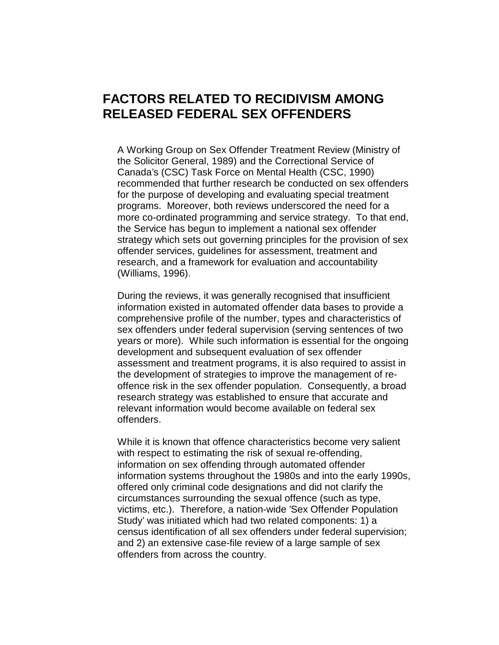## **FACTORS RELATED TO RECIDIVISM AMONG RELEASED FEDERAL SEX OFFENDERS**

A Working Group on Sex Offender Treatment Review (Ministry of the Solicitor General, 1989) and the Correctional Service of Canada's (CSC) Task Force on Mental Health (CSC, 1990) recommended that further research be conducted on sex offenders for the purpose of developing and evaluating special treatment programs. Moreover, both reviews underscored the need for a more co-ordinated programming and service strategy. To that end, the Service has begun to implement a national sex offender strategy which sets out governing principles for the provision of sex offender services, guidelines for assessment, treatment and research, and a framework for evaluation and accountability (Williams, 1996).

During the reviews, it was generally recognised that insufficient information existed in automated offender data bases to provide a comprehensive profile of the number, types and characteristics of sex offenders under federal supervision (serving sentences of two years or more). While such information is essential for the ongoing development and subsequent evaluation of sex offender assessment and treatment programs, it is also required to assist in the development of strategies to improve the management of reoffence risk in the sex offender population. Consequently, a broad research strategy was established to ensure that accurate and relevant information would become available on federal sex offenders.

While it is known that offence characteristics become very salient with respect to estimating the risk of sexual re-offending, information on sex offending through automated offender information systems throughout the 1980s and into the early 1990s, offered only criminal code designations and did not clarify the circumstances surrounding the sexual offence (such as type, victims, etc.). Therefore, a nation-wide 'Sex Offender Population Study' was initiated which had two related components: 1) a census identification of all sex offenders under federal supervision; and 2) an extensive case-file review of a large sample of sex offenders from across the country.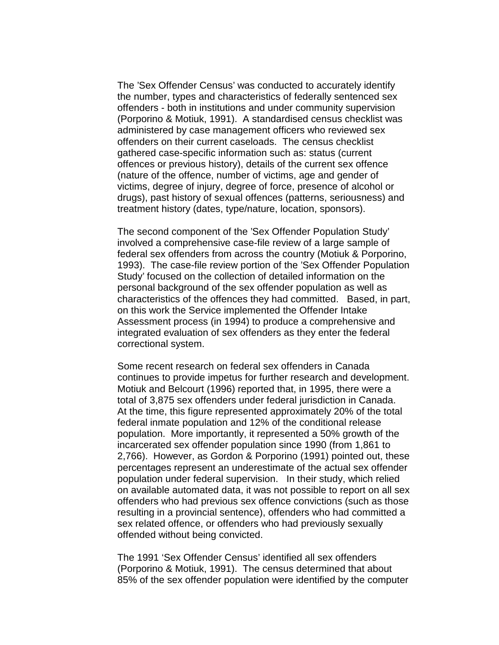The 'Sex Offender Census' was conducted to accurately identify the number, types and characteristics of federally sentenced sex offenders - both in institutions and under community supervision (Porporino & Motiuk, 1991). A standardised census checklist was administered by case management officers who reviewed sex offenders on their current caseloads. The census checklist gathered case-specific information such as: status (current offences or previous history), details of the current sex offence (nature of the offence, number of victims, age and gender of victims, degree of injury, degree of force, presence of alcohol or drugs), past history of sexual offences (patterns, seriousness) and treatment history (dates, type/nature, location, sponsors).

The second component of the 'Sex Offender Population Study' involved a comprehensive case-file review of a large sample of federal sex offenders from across the country (Motiuk & Porporino, 1993). The case-file review portion of the 'Sex Offender Population Study' focused on the collection of detailed information on the personal background of the sex offender population as well as characteristics of the offences they had committed. Based, in part, on this work the Service implemented the Offender Intake Assessment process (in 1994) to produce a comprehensive and integrated evaluation of sex offenders as they enter the federal correctional system.

Some recent research on federal sex offenders in Canada continues to provide impetus for further research and development. Motiuk and Belcourt (1996) reported that, in 1995, there were a total of 3,875 sex offenders under federal jurisdiction in Canada. At the time, this figure represented approximately 20% of the total federal inmate population and 12% of the conditional release population. More importantly, it represented a 50% growth of the incarcerated sex offender population since 1990 (from 1,861 to 2,766). However, as Gordon & Porporino (1991) pointed out, these percentages represent an underestimate of the actual sex offender population under federal supervision. In their study, which relied on available automated data, it was not possible to report on all sex offenders who had previous sex offence convictions (such as those resulting in a provincial sentence), offenders who had committed a sex related offence, or offenders who had previously sexually offended without being convicted.

The 1991 'Sex Offender Census' identified all sex offenders (Porporino & Motiuk, 1991). The census determined that about 85% of the sex offender population were identified by the computer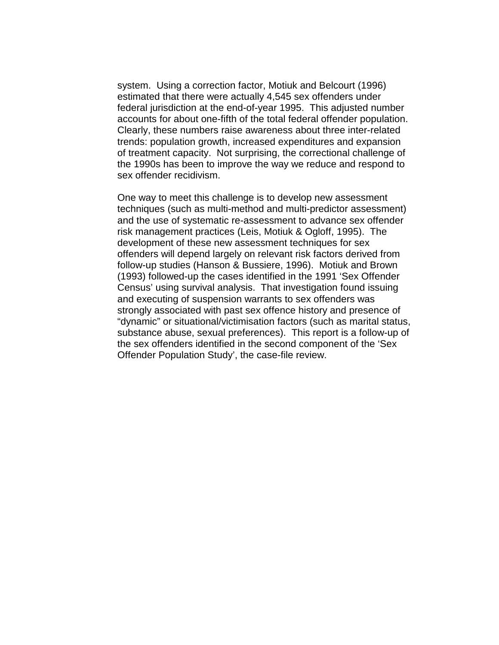system. Using a correction factor, Motiuk and Belcourt (1996) estimated that there were actually 4,545 sex offenders under federal jurisdiction at the end-of-year 1995. This adjusted number accounts for about one-fifth of the total federal offender population. Clearly, these numbers raise awareness about three inter-related trends: population growth, increased expenditures and expansion of treatment capacity. Not surprising, the correctional challenge of the 1990s has been to improve the way we reduce and respond to sex offender recidivism.

One way to meet this challenge is to develop new assessment techniques (such as multi-method and multi-predictor assessment) and the use of systematic re-assessment to advance sex offender risk management practices (Leis, Motiuk & Ogloff, 1995). The development of these new assessment techniques for sex offenders will depend largely on relevant risk factors derived from follow-up studies (Hanson & Bussiere, 1996). Motiuk and Brown (1993) followed-up the cases identified in the 1991 'Sex Offender Census' using survival analysis. That investigation found issuing and executing of suspension warrants to sex offenders was strongly associated with past sex offence history and presence of "dynamic" or situational/victimisation factors (such as marital status, substance abuse, sexual preferences). This report is a follow-up of the sex offenders identified in the second component of the 'Sex Offender Population Study', the case-file review.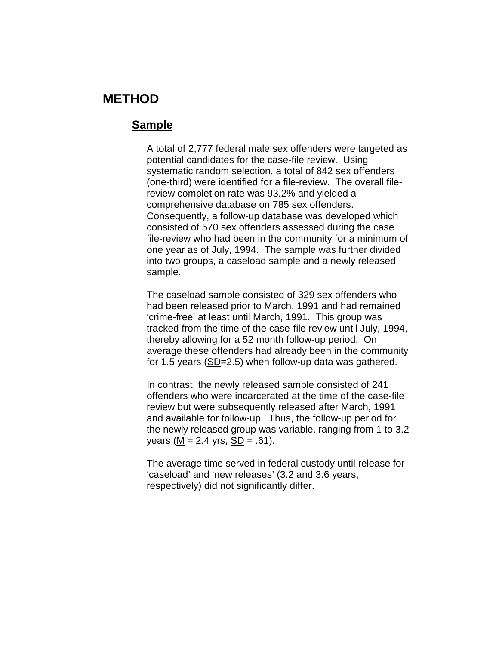### **METHOD**

#### **Sample**

A total of 2,777 federal male sex offenders were targeted as potential candidates for the case-file review. Using systematic random selection, a total of 842 sex offenders (one-third) were identified for a file-review. The overall filereview completion rate was 93.2% and yielded a comprehensive database on 785 sex offenders. Consequently, a follow-up database was developed which consisted of 570 sex offenders assessed during the case file-review who had been in the community for a minimum of one year as of July, 1994. The sample was further divided into two groups, a caseload sample and a newly released sample.

The caseload sample consisted of 329 sex offenders who had been released prior to March, 1991 and had remained 'crime-free' at least until March, 1991. This group was tracked from the time of the case-file review until July, 1994, thereby allowing for a 52 month follow-up period. On average these offenders had already been in the community for 1.5 years (SD=2.5) when follow-up data was gathered.

In contrast, the newly released sample consisted of 241 offenders who were incarcerated at the time of the case-file review but were subsequently released after March, 1991 and available for follow-up. Thus, the follow-up period for the newly released group was variable, ranging from 1 to 3.2 years ( $M = 2.4$  yrs,  $SD = .61$ ).

The average time served in federal custody until release for 'caseload' and 'new releases' (3.2 and 3.6 years, respectively) did not significantly differ.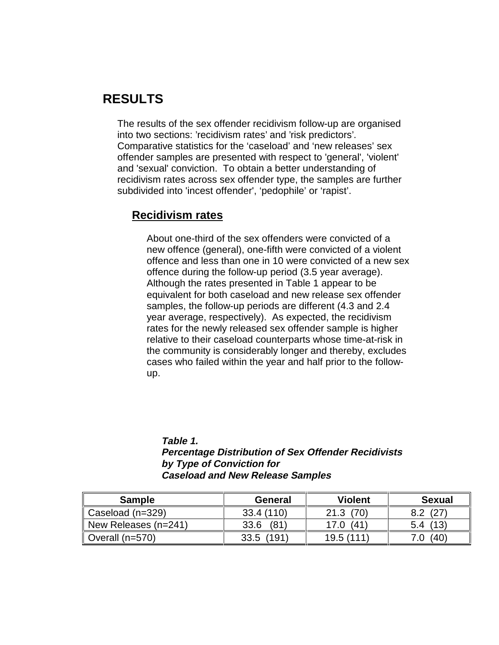## **RESULTS**

The results of the sex offender recidivism follow-up are organised into two sections: 'recidivism rates' and 'risk predictors'. Comparative statistics for the 'caseload' and 'new releases' sex offender samples are presented with respect to 'general', 'violent' and 'sexual' conviction. To obtain a better understanding of recidivism rates across sex offender type, the samples are further subdivided into 'incest offender', 'pedophile' or 'rapist'.

#### **Recidivism rates**

About one-third of the sex offenders were convicted of a new offence (general), one-fifth were convicted of a violent offence and less than one in 10 were convicted of a new sex offence during the follow-up period (3.5 year average). Although the rates presented in Table 1 appear to be equivalent for both caseload and new release sex offender samples, the follow-up periods are different (4.3 and 2.4 year average, respectively). As expected, the recidivism rates for the newly released sex offender sample is higher relative to their caseload counterparts whose time-at-risk in the community is considerably longer and thereby, excludes cases who failed within the year and half prior to the followup.

#### **Table 1. Percentage Distribution of Sex Offender Recidivists by Type of Conviction for Caseload and New Release Samples**

| <b>Sample</b>                | General       | <b>Violent</b> | <b>Sexual</b> |
|------------------------------|---------------|----------------|---------------|
| $\parallel$ Caseload (n=329) | 33.4 (110)    | (70)<br>21.3   | (27)          |
| New Releases (n=241)         | (81)<br>33.6  | (41)<br>17.0   | (13)<br>5.4   |
| $\parallel$ Overall (n=570)  | (191)<br>33.5 | 19.5 (111)     | (40)          |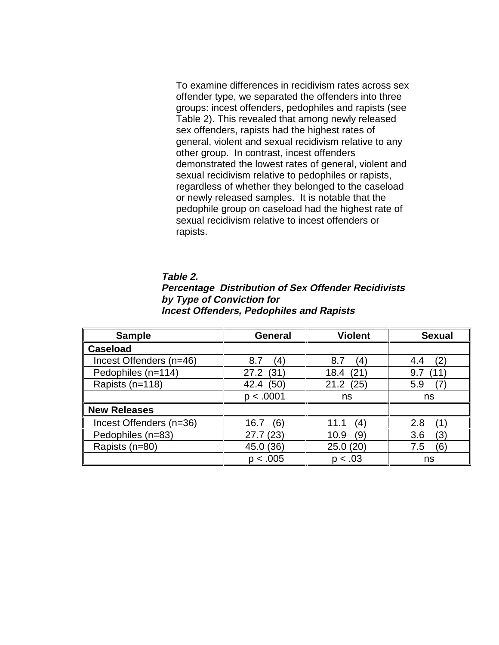To examine differences in recidivism rates across sex offender type, we separated the offenders into three groups: incest offenders, pedophiles and rapists (see Table 2). This revealed that among newly released sex offenders, rapists had the highest rates of general, violent and sexual recidivism relative to any other group. In contrast, incest offenders demonstrated the lowest rates of general, violent and sexual recidivism relative to pedophiles or rapists, regardless of whether they belonged to the caseload or newly released samples. It is notable that the pedophile group on caseload had the highest rate of sexual recidivism relative to incest offenders or rapists.

| Table 2.                                                   |
|------------------------------------------------------------|
| <b>Percentage Distribution of Sex Offender Recidivists</b> |
| by Type of Conviction for                                  |
| <b>Incest Offenders, Pedophiles and Rapists</b>            |

| <b>Sample</b>           | <b>General</b> | <b>Violent</b> | <b>Sexual</b> |
|-------------------------|----------------|----------------|---------------|
| <b>Caseload</b>         |                |                |               |
| Incest Offenders (n=46) | 8.7<br>(4)     | 8.7<br>(4)     | (2<br>4.4     |
| Pedophiles (n=114)      | (31)<br>27.2   | (21<br>18.4    | 9.7<br>้11    |
| Rapists (n=118)         | (50)<br>42.4   | 21.2<br>(25)   | 5.9           |
|                         | p < .0001      | ns             | ns            |
| <b>New Releases</b>     |                |                |               |
| Incest Offenders (n=36) | (6)<br>16.7    | 11.1<br>(4)    | 2.8           |
| Pedophiles (n=83)       | 27.7(23)       | (9`<br>10.9    | 3.6<br>(3)    |
| Rapists (n=80)          | 45.0 (36)      | 25.0(20)       | (6)<br>7.5    |
|                         | p < .005       | p < .03        | ns            |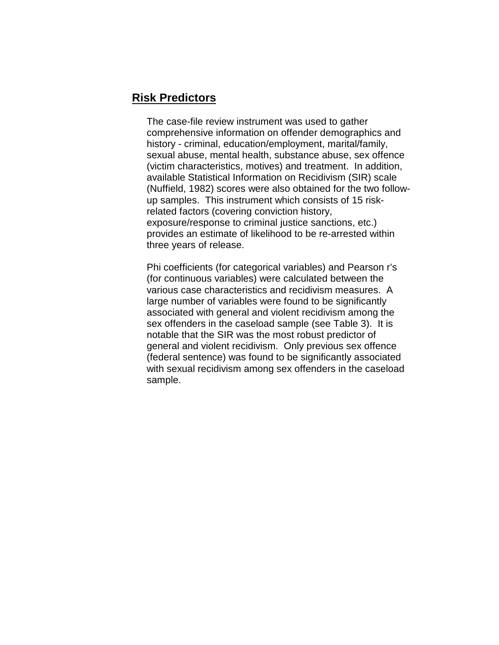#### **Risk Predictors**

The case-file review instrument was used to gather comprehensive information on offender demographics and history - criminal, education/employment, marital/family, sexual abuse, mental health, substance abuse, sex offence (victim characteristics, motives) and treatment. In addition, available Statistical Information on Recidivism (SIR) scale (Nuffield, 1982) scores were also obtained for the two followup samples. This instrument which consists of 15 riskrelated factors (covering conviction history, exposure/response to criminal justice sanctions, etc.) provides an estimate of likelihood to be re-arrested within three years of release.

Phi coefficients (for categorical variables) and Pearson r's (for continuous variables) were calculated between the various case characteristics and recidivism measures. A large number of variables were found to be significantly associated with general and violent recidivism among the sex offenders in the caseload sample (see Table 3). It is notable that the SIR was the most robust predictor of general and violent recidivism. Only previous sex offence (federal sentence) was found to be significantly associated with sexual recidivism among sex offenders in the caseload sample.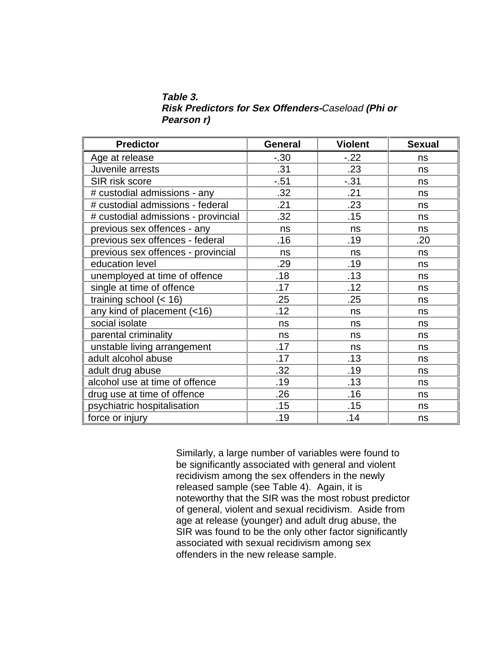**Table 3. Risk Predictors for Sex Offenders-**Caseload **(Phi or Pearson r)**

| <b>Predictor</b>                    | General | <b>Violent</b> | <b>Sexual</b> |
|-------------------------------------|---------|----------------|---------------|
| Age at release                      | $-.30$  | $-22$          | ns            |
| Juvenile arrests                    | .31     | .23            | ns            |
| SIR risk score                      | $-.51$  | $-.31$         | ns            |
| # custodial admissions - any        | .32     | .21            | ns            |
| # custodial admissions - federal    | .21     | .23            | ns            |
| # custodial admissions - provincial | .32     | .15            | ns            |
| previous sex offences - any         | ns      | ns             | ns            |
| previous sex offences - federal     | .16     | .19            | .20           |
| previous sex offences - provincial  | ns      | ns             | ns            |
| education level                     | .29     | .19            | ns            |
| unemployed at time of offence       | .18     | .13            | ns            |
| single at time of offence           | .17     | .12            | ns            |
| training school $(< 16)$            | .25     | .25            | ns            |
| any kind of placement (<16)         | .12     | ns             | ns            |
| social isolate                      | ns      | ns             | ns            |
| parental criminality                | ns      | ns             | ns            |
| unstable living arrangement         | .17     | ns             | ns            |
| adult alcohol abuse                 | .17     | .13            | ns            |
| adult drug abuse                    | .32     | .19            | ns            |
| alcohol use at time of offence      | .19     | .13            | ns            |
| drug use at time of offence         | .26     | .16            | ns            |
| psychiatric hospitalisation         | .15     | .15            | ns            |
| force or injury                     | .19     | .14            | ns            |

Similarly, a large number of variables were found to be significantly associated with general and violent recidivism among the sex offenders in the newly released sample (see Table 4). Again, it is noteworthy that the SIR was the most robust predictor of general, violent and sexual recidivism. Aside from age at release (younger) and adult drug abuse, the SIR was found to be the only other factor significantly associated with sexual recidivism among sex offenders in the new release sample.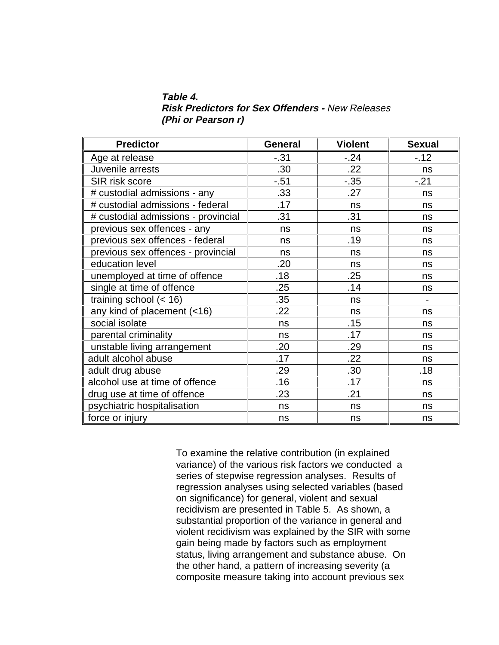**Table 4. Risk Predictors for Sex Offenders -** New Releases **(Phi or Pearson r)**

| <b>Predictor</b>                    | General | <b>Violent</b> | <b>Sexual</b>            |
|-------------------------------------|---------|----------------|--------------------------|
| Age at release                      | $-.31$  | $-.24$         | $-.12$                   |
| Juvenile arrests                    | .30     | .22            | ns                       |
| SIR risk score                      | $-.51$  | $-.35$         | $-21$                    |
| # custodial admissions - any        | .33     | .27            | ns                       |
| # custodial admissions - federal    | .17     | ns             | ns                       |
| # custodial admissions - provincial | .31     | .31            | ns                       |
| previous sex offences - any         | ns      | ns             | ns                       |
| previous sex offences - federal     | ns      | .19            | ns                       |
| previous sex offences - provincial  | ns      | ns             | ns                       |
| education level                     | .20     | ns             | ns                       |
| unemployed at time of offence       | .18     | .25            | ns                       |
| single at time of offence           | .25     | .14            | ns                       |
| training school $(< 16)$            | .35     | ns             | $\overline{\phantom{0}}$ |
| any kind of placement (<16)         | .22     | ns             | ns                       |
| social isolate                      | ns      | .15            | ns                       |
| parental criminality                | ns      | .17            | ns                       |
| unstable living arrangement         | .20     | .29            | ns                       |
| adult alcohol abuse                 | .17     | .22            | ns                       |
| adult drug abuse                    | .29     | .30            | .18                      |
| alcohol use at time of offence      | .16     | .17            | ns                       |
| drug use at time of offence         | .23     | .21            | ns                       |
| psychiatric hospitalisation         | ns      | ns             | ns                       |
| force or injury                     | ns      | ns             | ns                       |

To examine the relative contribution (in explained variance) of the various risk factors we conducted a series of stepwise regression analyses. Results of regression analyses using selected variables (based on significance) for general, violent and sexual recidivism are presented in Table 5. As shown, a substantial proportion of the variance in general and violent recidivism was explained by the SIR with some gain being made by factors such as employment status, living arrangement and substance abuse. On the other hand, a pattern of increasing severity (a composite measure taking into account previous sex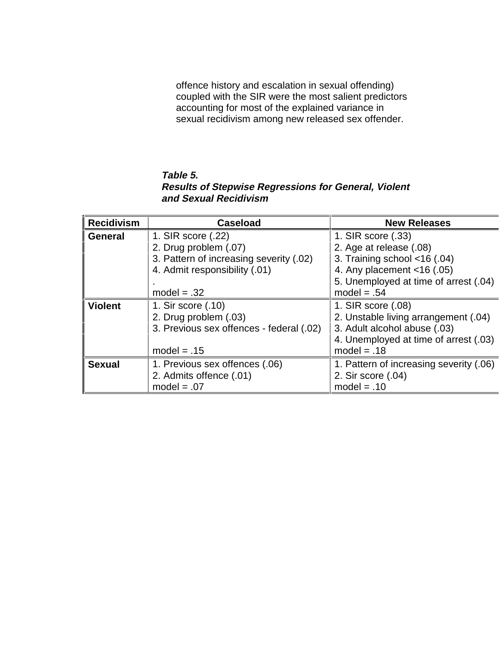offence history and escalation in sexual offending) coupled with the SIR were the most salient predictors accounting for most of the explained variance in sexual recidivism among new released sex offender.

#### **Table 5. Results of Stepwise Regressions for General, Violent and Sexual Recidivism**

| <b>Recidivism</b> | <b>Caseload</b>                          | <b>New Releases</b>                     |
|-------------------|------------------------------------------|-----------------------------------------|
| <b>General</b>    | 1. SIR score (.22)                       | 1. SIR score (.33)                      |
|                   | 2. Drug problem (.07)                    | 2. Age at release (.08)                 |
|                   | 3. Pattern of increasing severity (.02)  | 3. Training school <16 (.04)            |
|                   | 4. Admit responsibility (.01)            | 4. Any placement $<$ 16 (.05)           |
|                   |                                          | 5. Unemployed at time of arrest (.04)   |
|                   | $model = .32$                            | $model = .54$                           |
| <b>Violent</b>    | 1. Sir score (.10)                       | 1. SIR score (.08)                      |
|                   | 2. Drug problem (.03)                    | 2. Unstable living arrangement (.04)    |
|                   | 3. Previous sex offences - federal (.02) | 3. Adult alcohol abuse (.03)            |
|                   |                                          | 4. Unemployed at time of arrest (.03)   |
|                   | model $= .15$                            | $model = .18$                           |
| <b>Sexual</b>     | 1. Previous sex offences (.06)           | 1. Pattern of increasing severity (.06) |
|                   | 2. Admits offence (.01)                  | 2. Sir score (.04)                      |
|                   | $model = .07$                            | $model = .10$                           |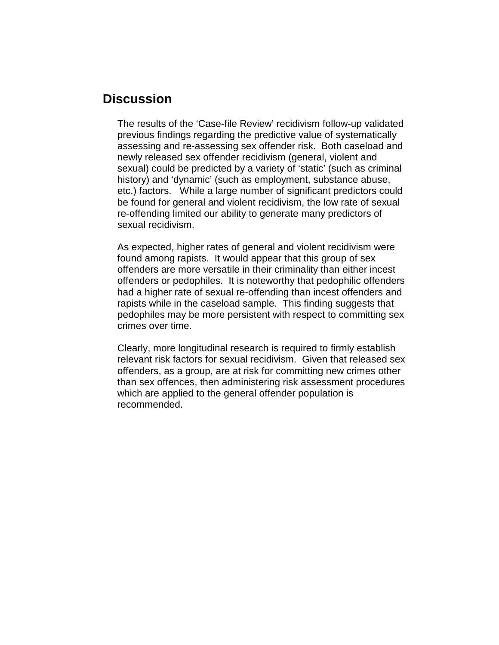## **Discussion**

The results of the 'Case-file Review' recidivism follow-up validated previous findings regarding the predictive value of systematically assessing and re-assessing sex offender risk. Both caseload and newly released sex offender recidivism (general, violent and sexual) could be predicted by a variety of 'static' (such as criminal history) and 'dynamic' (such as employment, substance abuse, etc.) factors. While a large number of significant predictors could be found for general and violent recidivism, the low rate of sexual re-offending limited our ability to generate many predictors of sexual recidivism.

As expected, higher rates of general and violent recidivism were found among rapists. It would appear that this group of sex offenders are more versatile in their criminality than either incest offenders or pedophiles. It is noteworthy that pedophilic offenders had a higher rate of sexual re-offending than incest offenders and rapists while in the caseload sample. This finding suggests that pedophiles may be more persistent with respect to committing sex crimes over time.

Clearly, more longitudinal research is required to firmly establish relevant risk factors for sexual recidivism. Given that released sex offenders, as a group, are at risk for committing new crimes other than sex offences, then administering risk assessment procedures which are applied to the general offender population is recommended.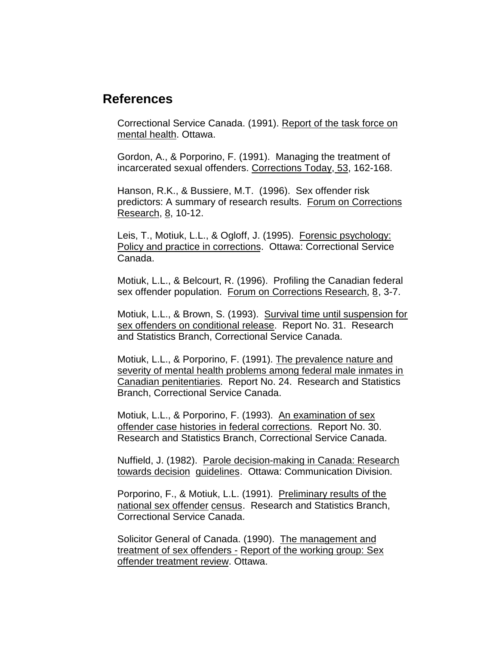### **References**

Correctional Service Canada. (1991). Report of the task force on mental health. Ottawa.

Gordon, A., & Porporino, F. (1991). Managing the treatment of incarcerated sexual offenders. Corrections Today, 53, 162-168.

Hanson, R.K., & Bussiere, M.T. (1996). Sex offender risk predictors: A summary of research results. Forum on Corrections Research, 8, 10-12.

Leis, T., Motiuk, L.L., & Ogloff, J. (1995). Forensic psychology: Policy and practice in corrections. Ottawa: Correctional Service Canada.

Motiuk, L.L., & Belcourt, R. (1996). Profiling the Canadian federal sex offender population. Forum on Corrections Research, 8, 3-7.

Motiuk, L.L., & Brown, S. (1993). Survival time until suspension for sex offenders on conditional release. Report No. 31. Research and Statistics Branch, Correctional Service Canada.

Motiuk, L.L., & Porporino, F. (1991). The prevalence nature and severity of mental health problems among federal male inmates in Canadian penitentiaries. Report No. 24. Research and Statistics Branch, Correctional Service Canada.

Motiuk, L.L., & Porporino, F. (1993). An examination of sex offender case histories in federal corrections. Report No. 30. Research and Statistics Branch, Correctional Service Canada.

Nuffield, J. (1982). Parole decision-making in Canada: Research towards decision guidelines. Ottawa: Communication Division.

Porporino, F., & Motiuk, L.L. (1991). Preliminary results of the national sex offender census. Research and Statistics Branch, Correctional Service Canada.

Solicitor General of Canada. (1990). The management and treatment of sex offenders - Report of the working group: Sex offender treatment review. Ottawa.